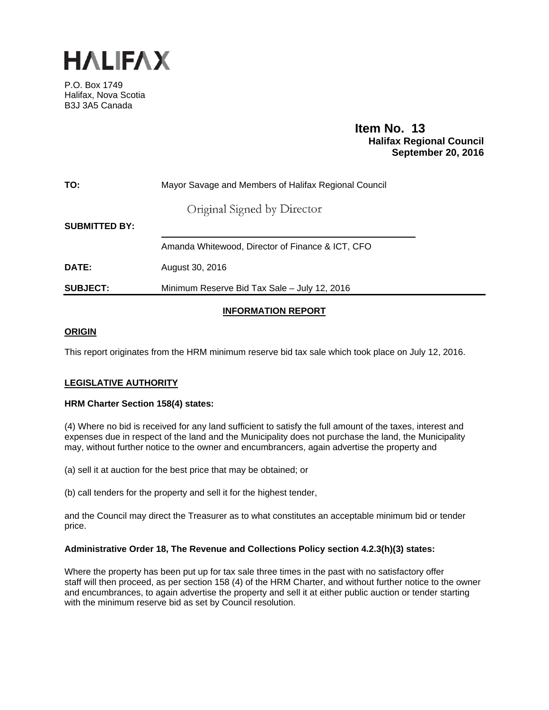

P.O. Box 1749 Halifax, Nova Scotia B3J 3A5 Canada

# **Item No. 13**<br>**Halifax Regional Council September 20, 2016**

| TO:                  | Mayor Savage and Members of Halifax Regional Council |  |  |  |  |  |  |  |  |
|----------------------|------------------------------------------------------|--|--|--|--|--|--|--|--|
|                      | Original Signed by Director                          |  |  |  |  |  |  |  |  |
| <b>SUBMITTED BY:</b> |                                                      |  |  |  |  |  |  |  |  |
|                      | Amanda Whitewood, Director of Finance & ICT, CFO     |  |  |  |  |  |  |  |  |
| <b>DATE:</b>         | August 30, 2016                                      |  |  |  |  |  |  |  |  |
| <b>SUBJECT:</b>      | Minimum Reserve Bid Tax Sale - July 12, 2016         |  |  |  |  |  |  |  |  |

## **INFORMATION REPORT**

#### **ORIGIN**

This report originates from the HRM minimum reserve bid tax sale which took place on July 12, 2016.

### **LEGISLATIVE AUTHORITY**

#### **HRM Charter Section 158(4) states:**

(4) Where no bid is received for any land sufficient to satisfy the full amount of the taxes, interest and expenses due in respect of the land and the Municipality does not purchase the land, the Municipality may, without further notice to the owner and encumbrancers, again advertise the property and

(a) sell it at auction for the best price that may be obtained; or

(b) call tenders for the property and sell it for the highest tender,

and the Council may direct the Treasurer as to what constitutes an acceptable minimum bid or tender price.

#### **Administrative Order 18, The Revenue and Collections Policy section 4.2.3(h)(3) states:**

Where the property has been put up for tax sale three times in the past with no satisfactory offer staff will then proceed, as per section 158 (4) of the HRM Charter, and without further notice to the owner and encumbrances, to again advertise the property and sell it at either public auction or tender starting with the minimum reserve bid as set by Council resolution.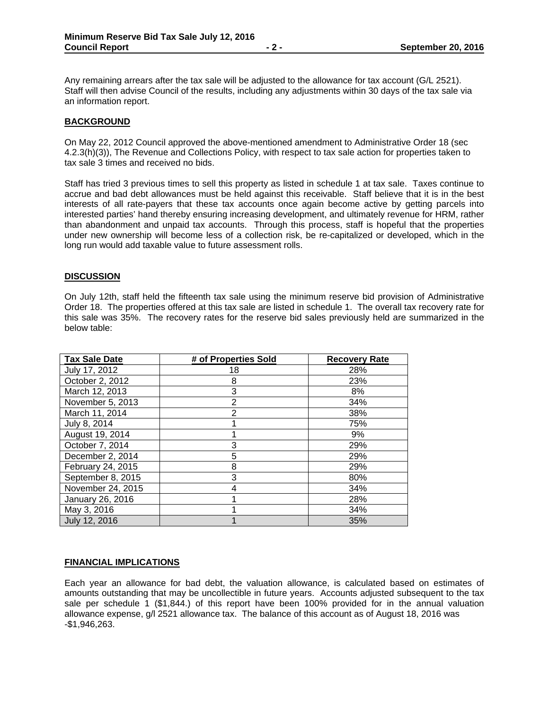Any remaining arrears after the tax sale will be adjusted to the allowance for tax account (G/L 2521). Staff will then advise Council of the results, including any adjustments within 30 days of the tax sale via an information report.

#### **BACKGROUND**

On May 22, 2012 Council approved the above-mentioned amendment to Administrative Order 18 (sec 4.2.3(h)(3)), The Revenue and Collections Policy, with respect to tax sale action for properties taken to tax sale 3 times and received no bids.

Staff has tried 3 previous times to sell this property as listed in schedule 1 at tax sale. Taxes continue to accrue and bad debt allowances must be held against this receivable. Staff believe that it is in the best interests of all rate-payers that these tax accounts once again become active by getting parcels into interested parties' hand thereby ensuring increasing development, and ultimately revenue for HRM, rather than abandonment and unpaid tax accounts. Through this process, staff is hopeful that the properties under new ownership will become less of a collection risk, be re-capitalized or developed, which in the long run would add taxable value to future assessment rolls.

#### **DISCUSSION**

On July 12th, staff held the fifteenth tax sale using the minimum reserve bid provision of Administrative Order 18. The properties offered at this tax sale are listed in schedule 1. The overall tax recovery rate for this sale was 35%. The recovery rates for the reserve bid sales previously held are summarized in the below table:

| <b>Tax Sale Date</b> | # of Properties Sold | <b>Recovery Rate</b> |
|----------------------|----------------------|----------------------|
| July 17, 2012        | 18                   | 28%                  |
| October 2, 2012      | 8                    | 23%                  |
| March 12, 2013       | 3                    | 8%                   |
| November 5, 2013     | 2                    | 34%                  |
| March 11, 2014       | 2                    | 38%                  |
| July 8, 2014         |                      | 75%                  |
| August 19, 2014      |                      | 9%                   |
| October 7, 2014      | 3                    | 29%                  |
| December 2, 2014     | 5                    | 29%                  |
| February 24, 2015    | 8                    | 29%                  |
| September 8, 2015    | 3                    | 80%                  |
| November 24, 2015    | 4                    | 34%                  |
| January 26, 2016     |                      | 28%                  |
| May 3, 2016          |                      | 34%                  |
| July 12, 2016        |                      | 35%                  |

#### **FINANCIAL IMPLICATIONS**

Each year an allowance for bad debt, the valuation allowance, is calculated based on estimates of amounts outstanding that may be uncollectible in future years. Accounts adjusted subsequent to the tax sale per schedule 1 (\$1,844.) of this report have been 100% provided for in the annual valuation allowance expense, g/l 2521 allowance tax. The balance of this account as of August 18, 2016 was -\$1,946,263.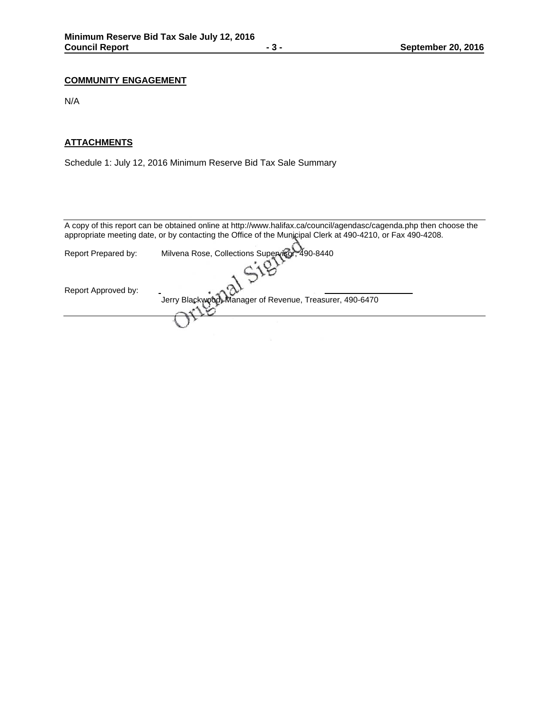## **COMMUNITY ENGAGEMENT**

N/A

## **ATTACHMENTS**

Schedule 1: July 12, 2016 Minimum Reserve Bid Tax Sale Summary

|                     | A copy of this report can be obtained online at http://www.halifax.ca/council/agendasc/cagenda.php then choose the<br>appropriate meeting date, or by contacting the Office of the Municipal Clerk at 490-4210, or Fax 490-4208. |
|---------------------|----------------------------------------------------------------------------------------------------------------------------------------------------------------------------------------------------------------------------------|
| Report Prepared by: | Milvena Rose, Collections Supervisor, 490-8440                                                                                                                                                                                   |
|                     |                                                                                                                                                                                                                                  |
| Report Approved by: | Jerry Blackwood, Manager of Revenue, Treasurer, 490-6470                                                                                                                                                                         |
|                     |                                                                                                                                                                                                                                  |